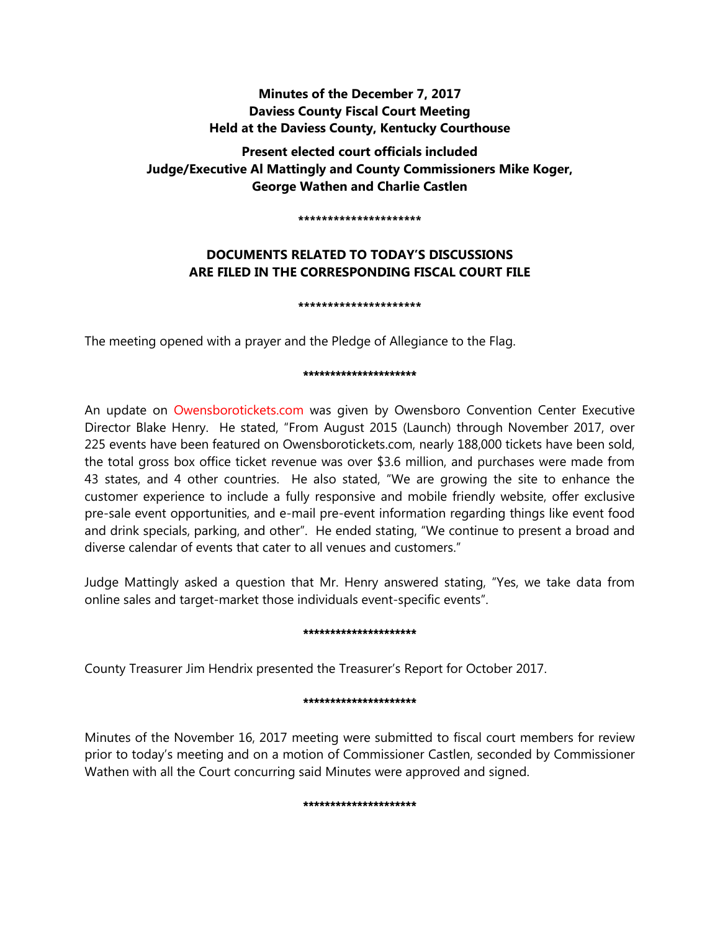# **Minutes of the December 7, 2017 Daviess County Fiscal Court Meeting Held at the Daviess County, Kentucky Courthouse**

**Present elected court officials included Judge/Executive Al Mattingly and County Commissioners Mike Koger, George Wathen and Charlie Castlen** 

**\*\*\*\*\*\*\*\*\*\*\*\*\*\*\*\*\*\*\*\*\***

# **DOCUMENTS RELATED TO TODAY'S DISCUSSIONS ARE FILED IN THE CORRESPONDING FISCAL COURT FILE**

**\*\*\*\*\*\*\*\*\*\*\*\*\*\*\*\*\*\*\*\*\***

The meeting opened with a prayer and the Pledge of Allegiance to the Flag.

#### \*\*\*\*\*\*\*\*\*\*\*\*\*\*\*\*\*\*\*\*\*

An update on Owensborotickets.com was given by Owensboro Convention Center Executive Director Blake Henry. He stated, "From August 2015 (Launch) through November 2017, over 225 events have been featured on Owensborotickets.com, nearly 188,000 tickets have been sold, the total gross box office ticket revenue was over \$3.6 million, and purchases were made from 43 states, and 4 other countries. He also stated, "We are growing the site to enhance the customer experience to include a fully responsive and mobile friendly website, offer exclusive pre-sale event opportunities, and e-mail pre-event information regarding things like event food and drink specials, parking, and other". He ended stating, "We continue to present a broad and diverse calendar of events that cater to all venues and customers."

Judge Mattingly asked a question that Mr. Henry answered stating, "Yes, we take data from online sales and target-market those individuals event-specific events".

# \*\*\*\*\*\*\*\*\*\*\*\*\*\*\*\*\*\*\*\*\*

County Treasurer Jim Hendrix presented the Treasurer's Report for October 2017.

# \*\*\*\*\*\*\*\*\*\*\*\*\*\*\*\*\*\*

Minutes of the November 16, 2017 meeting were submitted to fiscal court members for review prior to today's meeting and on a motion of Commissioner Castlen, seconded by Commissioner Wathen with all the Court concurring said Minutes were approved and signed.

# \*\*\*\*\*\*\*\*\*\*\*\*\*\*\*\*\*\*\*\*\*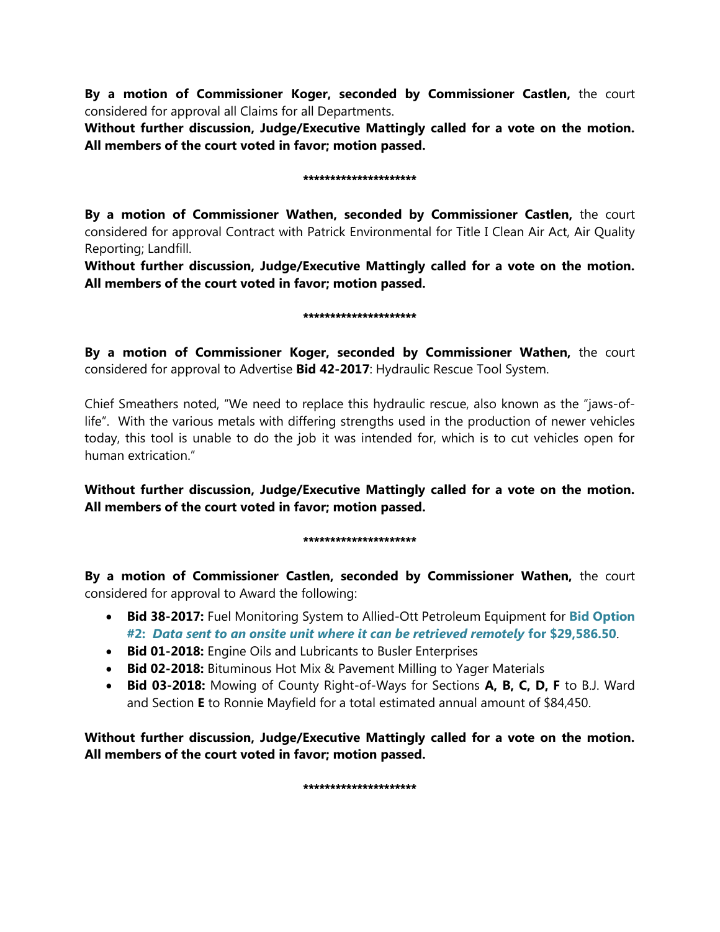**By a motion of Commissioner Koger, seconded by Commissioner Castlen,** the court considered for approval all Claims for all Departments.

**Without further discussion, Judge/Executive Mattingly called for a vote on the motion. All members of the court voted in favor; motion passed.** 

### \*\*\*\*\*\*\*\*\*\*\*\*\*\*\*\*\*\*\*\*\*

**By a motion of Commissioner Wathen, seconded by Commissioner Castlen,** the court considered for approval Contract with Patrick Environmental for Title I Clean Air Act, Air Quality Reporting; Landfill.

**Without further discussion, Judge/Executive Mattingly called for a vote on the motion. All members of the court voted in favor; motion passed.**

#### \*\*\*\*\*\*\*\*\*\*\*\*\*\*\*\*\*\*\*\*\*

**By a motion of Commissioner Koger, seconded by Commissioner Wathen,** the court considered for approval to Advertise **Bid 42-2017**: Hydraulic Rescue Tool System.

Chief Smeathers noted, "We need to replace this hydraulic rescue, also known as the "jaws-oflife". With the various metals with differing strengths used in the production of newer vehicles today, this tool is unable to do the job it was intended for, which is to cut vehicles open for human extrication."

**Without further discussion, Judge/Executive Mattingly called for a vote on the motion. All members of the court voted in favor; motion passed.** 

# \*\*\*\*\*\*\*\*\*\*\*\*\*\*\*\*\*\*\*\*\*

**By a motion of Commissioner Castlen, seconded by Commissioner Wathen,** the court considered for approval to Award the following:

- **Bid 38-2017:** Fuel Monitoring System to Allied-Ott Petroleum Equipment for **Bid Option #2:** *Data sent to an onsite unit where it can be retrieved remotely* **for \$29,586.50**.
- **Bid 01-2018:** Engine Oils and Lubricants to Busler Enterprises
- **Bid 02-2018:** Bituminous Hot Mix & Pavement Milling to Yager Materials
- **Bid 03-2018:** Mowing of County Right-of-Ways for Sections **A, B, C, D, F** to B.J. Ward and Section **E** to Ronnie Mayfield for a total estimated annual amount of \$84,450.

**Without further discussion, Judge/Executive Mattingly called for a vote on the motion. All members of the court voted in favor; motion passed.** 

\*\*\*\*\*\*\*\*\*\*\*\*\*\*\*\*\*\*\*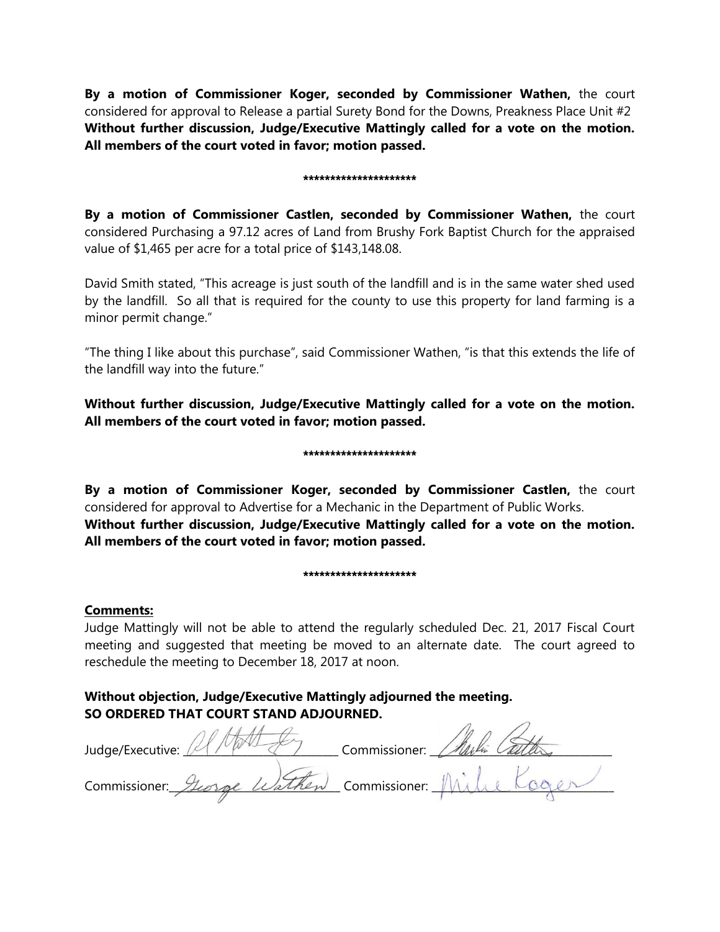**By a motion of Commissioner Koger, seconded by Commissioner Wathen,** the court considered for approval to Release a partial Surety Bond for the Downs, Preakness Place Unit #2 **Without further discussion, Judge/Executive Mattingly called for a vote on the motion. All members of the court voted in favor; motion passed.** 

#### \*\*\*\*\*\*\*\*\*\*\*\*\*\*\*\*\*\*\*\*\*

**By a motion of Commissioner Castlen, seconded by Commissioner Wathen,** the court considered Purchasing a 97.12 acres of Land from Brushy Fork Baptist Church for the appraised value of \$1,465 per acre for a total price of \$143,148.08.

David Smith stated, "This acreage is just south of the landfill and is in the same water shed used by the landfill. So all that is required for the county to use this property for land farming is a minor permit change."

"The thing I like about this purchase", said Commissioner Wathen, "is that this extends the life of the landfill way into the future."

**Without further discussion, Judge/Executive Mattingly called for a vote on the motion. All members of the court voted in favor; motion passed.** 

# \*\*\*\*\*\*\*\*\*\*\*\*\*\*\*\*\*\*\*\*\*

**By a motion of Commissioner Koger, seconded by Commissioner Castlen,** the court considered for approval to Advertise for a Mechanic in the Department of Public Works. **Without further discussion, Judge/Executive Mattingly called for a vote on the motion. All members of the court voted in favor; motion passed.** 

#### \*\*\*\*\*\*\*\*\*\*\*\*\*\*\*\*\*\*\*\*\*

# **Comments:**

Judge Mattingly will not be able to attend the regularly scheduled Dec. 21, 2017 Fiscal Court meeting and suggested that meeting be moved to an alternate date. The court agreed to reschedule the meeting to December 18, 2017 at noon.

# **Without objection, Judge/Executive Mattingly adjourned the meeting. SO ORDERED THAT COURT STAND ADJOURNED.**

| Judge/Executive:                          | Commissioner: |
|-------------------------------------------|---------------|
| Commissioner. George Wathen Commissioner. |               |